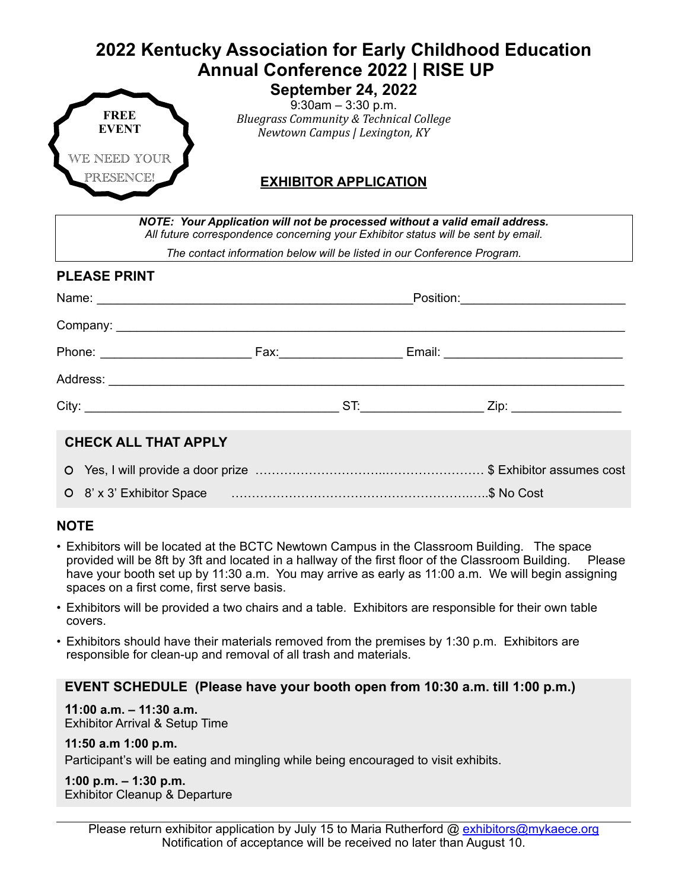# **2022 Kentucky Association for Early Childhood Education Annual Conference 2022 | RISE UP**



**September 24, 2022** 9:30am – 3:30 p.m. *Bluegrass Community & Technical College Newtown Campus | Lexington, KY*

### **EXHIBITOR APPLICATION**

| NOTE: Your Application will not be processed without a valid email address.<br>All future correspondence concerning your Exhibitor status will be sent by email. |  |  |  |
|------------------------------------------------------------------------------------------------------------------------------------------------------------------|--|--|--|
| The contact information below will be listed in our Conference Program.                                                                                          |  |  |  |
| <b>PLEASE PRINT</b>                                                                                                                                              |  |  |  |
|                                                                                                                                                                  |  |  |  |
|                                                                                                                                                                  |  |  |  |
|                                                                                                                                                                  |  |  |  |
|                                                                                                                                                                  |  |  |  |
|                                                                                                                                                                  |  |  |  |
| <b>CHECK ALL THAT APPLY</b>                                                                                                                                      |  |  |  |
|                                                                                                                                                                  |  |  |  |
|                                                                                                                                                                  |  |  |  |

#### 8! x 3! Exhibitor Space ………………………………………………….…..\$ No Cost

#### **NOTE**

- Exhibitors will be located at the BCTC Newtown Campus in the Classroom Building. The space provided will be 8ft by 3ft and located in a hallway of the first floor of the Classroom Building. Please have your booth set up by 11:30 a.m. You may arrive as early as 11:00 a.m. We will begin assigning spaces on a first come, first serve basis.
- Exhibitors will be provided a two chairs and a table. Exhibitors are responsible for their own table covers.
- Exhibitors should have their materials removed from the premises by 1:30 p.m. Exhibitors are responsible for clean-up and removal of all trash and materials.

#### **EVENT SCHEDULE (Please have your booth open from 10:30 a.m. till 1:00 p.m.)**

## **11:00 a.m. – 11:30 a.m.**

Exhibitor Arrival & Setup Time

#### **11:50 a.m 1:00 p.m.**

Participant's will be eating and mingling while being encouraged to visit exhibits.

### **1:00 p.m. – 1:30 p.m.**

Exhibitor Cleanup & Departure